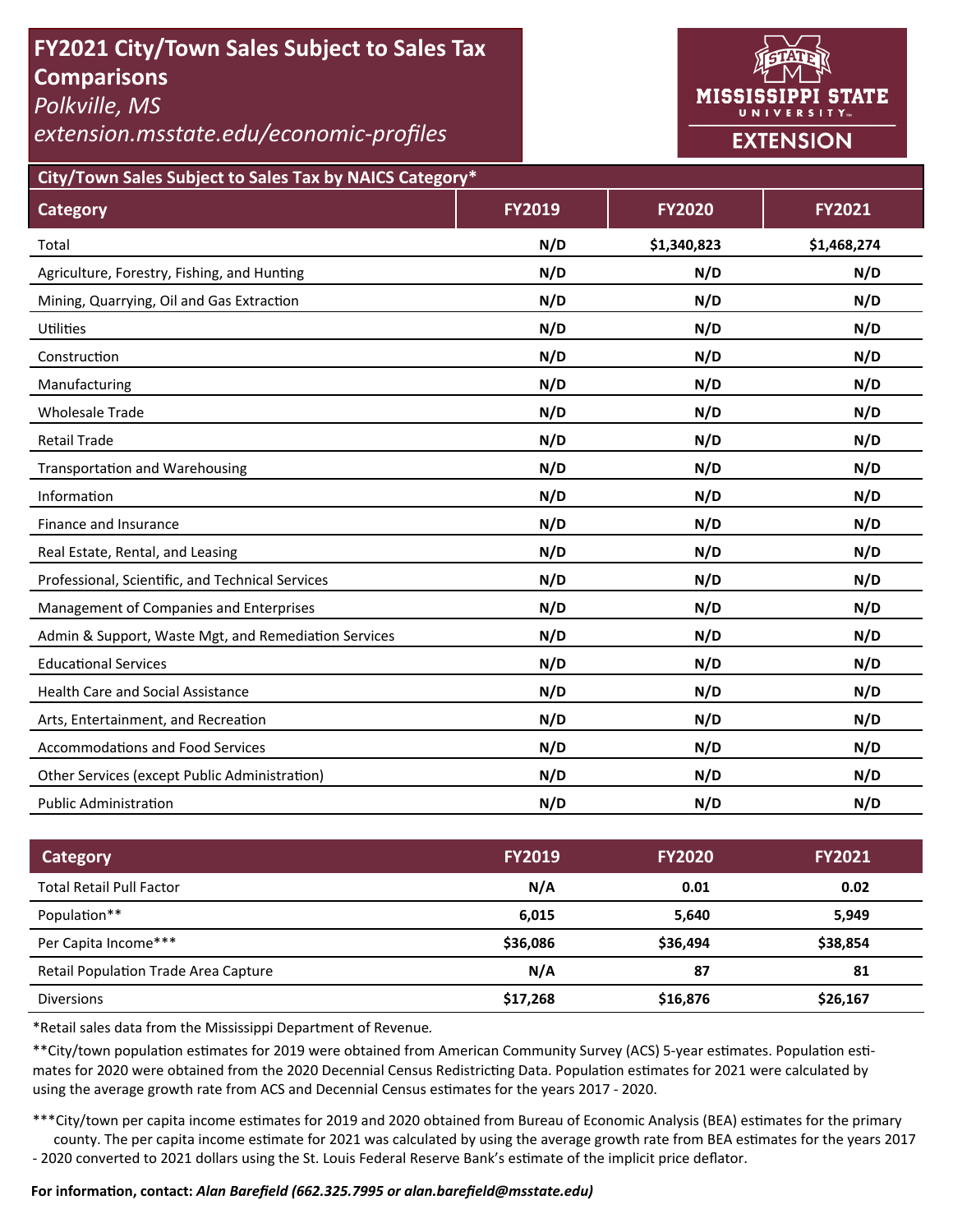# **FY2021 City/Town Sales Subject to Sales Tax Comparisons**

*Polkville, MS* 

*extension.msstate.edu/economic‐profiles* 



**City/Town Sales Subject to Sales Tax by NAICS Category\***

| <b>Category</b>                                      | <b>FY2019</b> | <b>FY2020</b> | FY2021      |
|------------------------------------------------------|---------------|---------------|-------------|
| Total                                                | N/D           | \$1,340,823   | \$1,468,274 |
| Agriculture, Forestry, Fishing, and Hunting          | N/D           | N/D           | N/D         |
| Mining, Quarrying, Oil and Gas Extraction            | N/D           | N/D           | N/D         |
| Utilities                                            | N/D           | N/D           | N/D         |
| Construction                                         | N/D           | N/D           | N/D         |
| Manufacturing                                        | N/D           | N/D           | N/D         |
| <b>Wholesale Trade</b>                               | N/D           | N/D           | N/D         |
| <b>Retail Trade</b>                                  | N/D           | N/D           | N/D         |
| <b>Transportation and Warehousing</b>                | N/D           | N/D           | N/D         |
| Information                                          | N/D           | N/D           | N/D         |
| Finance and Insurance                                | N/D           | N/D           | N/D         |
| Real Estate, Rental, and Leasing                     | N/D           | N/D           | N/D         |
| Professional, Scientific, and Technical Services     | N/D           | N/D           | N/D         |
| Management of Companies and Enterprises              | N/D           | N/D           | N/D         |
| Admin & Support, Waste Mgt, and Remediation Services | N/D           | N/D           | N/D         |
| <b>Educational Services</b>                          | N/D           | N/D           | N/D         |
| <b>Health Care and Social Assistance</b>             | N/D           | N/D           | N/D         |
| Arts, Entertainment, and Recreation                  | N/D           | N/D           | N/D         |
| <b>Accommodations and Food Services</b>              | N/D           | N/D           | N/D         |
| Other Services (except Public Administration)        | N/D           | N/D           | N/D         |
| <b>Public Administration</b>                         | N/D           | N/D           | N/D         |

| <b>Category</b>                             | <b>FY2019</b> | <b>FY2020</b> | <b>FY2021</b> |
|---------------------------------------------|---------------|---------------|---------------|
| <b>Total Retail Pull Factor</b>             | N/A           | 0.01          | 0.02          |
| Population**                                | 6,015         | 5,640         | 5,949         |
| Per Capita Income***                        | \$36,086      | \$36,494      | \$38,854      |
| <b>Retail Population Trade Area Capture</b> | N/A           | 87            | 81            |
| <b>Diversions</b>                           | \$17,268      | \$16,876      | \$26,167      |

\*Retail sales data from the Mississippi Department of Revenue*.* 

\*\*City/town population estimates for 2019 were obtained from American Community Survey (ACS) 5-year estimates. Population estimates for 2020 were obtained from the 2020 Decennial Census Redistricting Data. Population estimates for 2021 were calculated by using the average growth rate from ACS and Decennial Census estimates for the years 2017 - 2020.

\*\*\*City/town per capita income estimates for 2019 and 2020 obtained from Bureau of Economic Analysis (BEA) estimates for the primary county. The per capita income estimate for 2021 was calculated by using the average growth rate from BEA estimates for the years 2017 - 2020 converted to 2021 dollars using the St. Louis Federal Reserve Bank's estimate of the implicit price deflator.

### **For informaƟon, contact:** *Alan Barefield (662.325.7995 or alan.barefield@msstate.edu)*